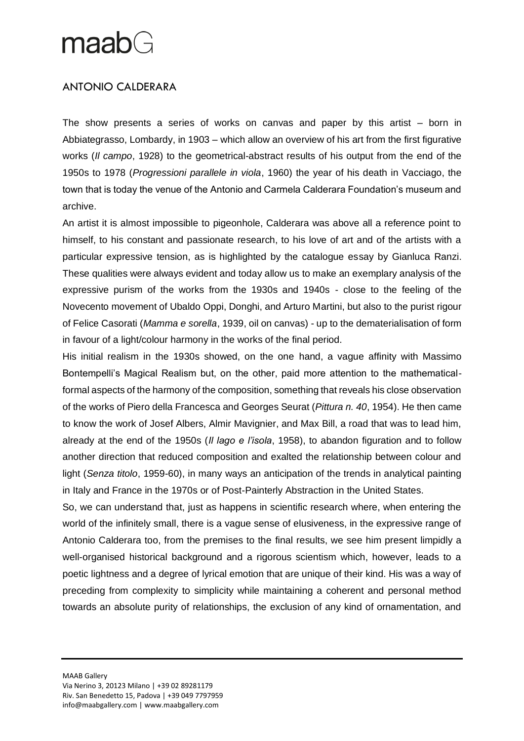## maabG

### ANTONIO CALDERARA

The show presents a series of works on canvas and paper by this artist – born in Abbiategrasso, Lombardy, in 1903 – which allow an overview of his art from the first figurative works (*Il campo*, 1928) to the geometrical-abstract results of his output from the end of the 1950s to 1978 (*Progressioni parallele in viola*, 1960) the year of his death in Vacciago, the town that is today the venue of the Antonio and Carmela Calderara Foundation's museum and archive.

An artist it is almost impossible to pigeonhole, Calderara was above all a reference point to himself, to his constant and passionate research, to his love of art and of the artists with a particular expressive tension, as is highlighted by the catalogue essay by Gianluca Ranzi. These qualities were always evident and today allow us to make an exemplary analysis of the expressive purism of the works from the 1930s and 1940s - close to the feeling of the Novecento movement of Ubaldo Oppi, Donghi, and Arturo Martini, but also to the purist rigour of Felice Casorati (*Mamma e sorella*, 1939, oil on canvas) - up to the dematerialisation of form in favour of a light/colour harmony in the works of the final period.

His initial realism in the 1930s showed, on the one hand, a vague affinity with Massimo Bontempelli's Magical Realism but, on the other, paid more attention to the mathematicalformal aspects of the harmony of the composition, something that reveals his close observation of the works of Piero della Francesca and Georges Seurat (*Pittura n. 40*, 1954). He then came to know the work of Josef Albers, Almir Mavignier, and Max Bill, a road that was to lead him, already at the end of the 1950s (*Il lago e l'isola*, 1958), to abandon figuration and to follow another direction that reduced composition and exalted the relationship between colour and light (*Senza titolo*, 1959-60), in many ways an anticipation of the trends in analytical painting in Italy and France in the 1970s or of Post-Painterly Abstraction in the United States.

So, we can understand that, just as happens in scientific research where, when entering the world of the infinitely small, there is a vague sense of elusiveness, in the expressive range of Antonio Calderara too, from the premises to the final results, we see him present limpidly a well-organised historical background and a rigorous scientism which, however, leads to a poetic lightness and a degree of lyrical emotion that are unique of their kind. His was a way of preceding from complexity to simplicity while maintaining a coherent and personal method towards an absolute purity of relationships, the exclusion of any kind of ornamentation, and